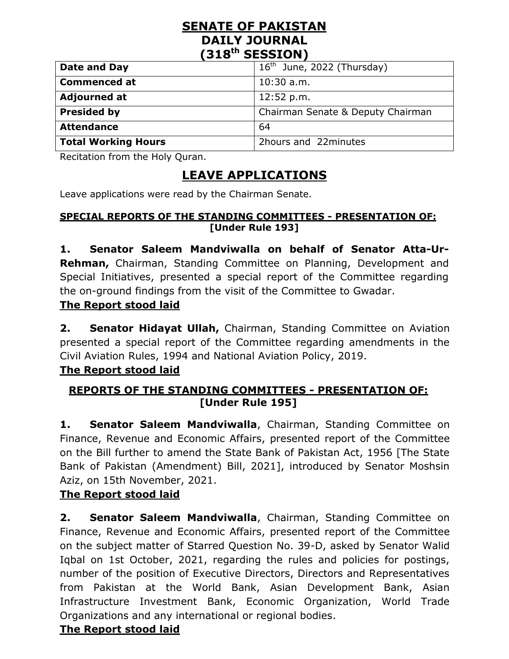#### **SENATE OF PAKISTAN DAILY JOURNAL (318th SESSION)**

| Date and Day               | $16th$ June, 2022 (Thursday)      |
|----------------------------|-----------------------------------|
| <b>Commenced at</b>        | $10:30$ a.m.                      |
| <b>Adjourned at</b>        | 12:52 p.m.                        |
| <b>Presided by</b>         | Chairman Senate & Deputy Chairman |
| <b>Attendance</b>          | 64                                |
| <b>Total Working Hours</b> | 2hours and 22minutes              |

Recitation from the Holy Quran.

# **LEAVE APPLICATIONS**

Leave applications were read by the Chairman Senate.

#### **SPECIAL REPORTS OF THE STANDING COMMITTEES - PRESENTATION OF: [Under Rule 193]**

**1. Senator Saleem Mandviwalla on behalf of Senator Atta-Ur-Rehman,** Chairman, Standing Committee on Planning, Development and Special Initiatives, presented a special report of the Committee regarding the on-ground findings from the visit of the Committee to Gwadar.

#### **The Report stood laid**

**2. Senator Hidayat Ullah,** Chairman, Standing Committee on Aviation presented a special report of the Committee regarding amendments in the Civil Aviation Rules, 1994 and National Aviation Policy, 2019.

#### **The Report stood laid**

#### **REPORTS OF THE STANDING COMMITTEES - PRESENTATION OF: [Under Rule 195]**

**1. Senator Saleem Mandviwalla**, Chairman, Standing Committee on Finance, Revenue and Economic Affairs, presented report of the Committee on the Bill further to amend the State Bank of Pakistan Act, 1956 [The State Bank of Pakistan (Amendment) Bill, 2021], introduced by Senator Moshsin Aziz, on 15th November, 2021.

### **The Report stood laid**

**2. Senator Saleem Mandviwalla**, Chairman, Standing Committee on Finance, Revenue and Economic Affairs, presented report of the Committee on the subject matter of Starred Question No. 39-D, asked by Senator Walid Iqbal on 1st October, 2021, regarding the rules and policies for postings, number of the position of Executive Directors, Directors and Representatives from Pakistan at the World Bank, Asian Development Bank, Asian Infrastructure Investment Bank, Economic Organization, World Trade Organizations and any international or regional bodies.

#### **The Report stood laid**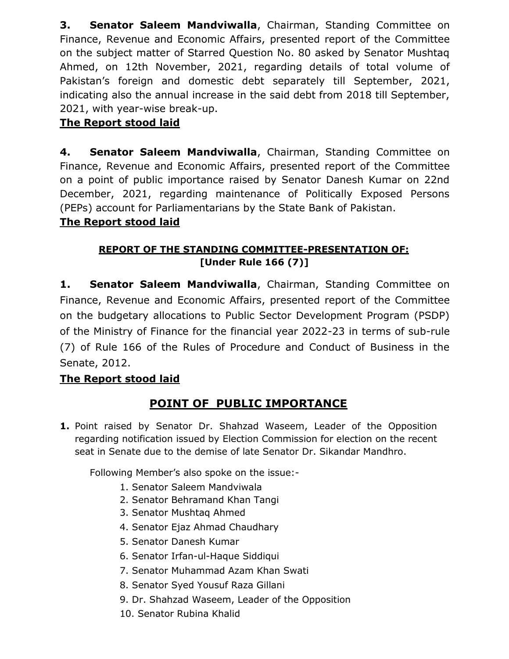**3. Senator Saleem Mandviwalla**, Chairman, Standing Committee on Finance, Revenue and Economic Affairs, presented report of the Committee on the subject matter of Starred Question No. 80 asked by Senator Mushtaq Ahmed, on 12th November, 2021, regarding details of total volume of Pakistan's foreign and domestic debt separately till September, 2021, indicating also the annual increase in the said debt from 2018 till September, 2021, with year-wise break-up.

#### **The Report stood laid**

**4. Senator Saleem Mandviwalla**, Chairman, Standing Committee on Finance, Revenue and Economic Affairs, presented report of the Committee on a point of public importance raised by Senator Danesh Kumar on 22nd December, 2021, regarding maintenance of Politically Exposed Persons (PEPs) account for Parliamentarians by the State Bank of Pakistan.

#### **The Report stood laid**

#### **REPORT OF THE STANDING COMMITTEE-PRESENTATION OF: [Under Rule 166 (7)]**

**1. Senator Saleem Mandviwalla**, Chairman, Standing Committee on Finance, Revenue and Economic Affairs, presented report of the Committee on the budgetary allocations to Public Sector Development Program (PSDP) of the Ministry of Finance for the financial year 2022-23 in terms of sub-rule (7) of Rule 166 of the Rules of Procedure and Conduct of Business in the Senate, 2012.

#### **The Report stood laid**

## **POINT OF PUBLIC IMPORTANCE**

**1.** Point raised by Senator Dr. Shahzad Waseem, Leader of the Opposition regarding notification issued by Election Commission for election on the recent seat in Senate due to the demise of late Senator Dr. Sikandar Mandhro.

Following Member's also spoke on the issue:-

- 1. Senator Saleem Mandviwala
- 2. Senator Behramand Khan Tangi
- 3. Senator Mushtaq Ahmed
- 4. Senator Ejaz Ahmad Chaudhary
- 5. Senator Danesh Kumar
- 6. Senator Irfan-ul-Haque Siddiqui
- 7. Senator Muhammad Azam Khan Swati
- 8. Senator Syed Yousuf Raza Gillani
- 9. Dr. Shahzad Waseem, Leader of the Opposition
- 10. Senator Rubina Khalid